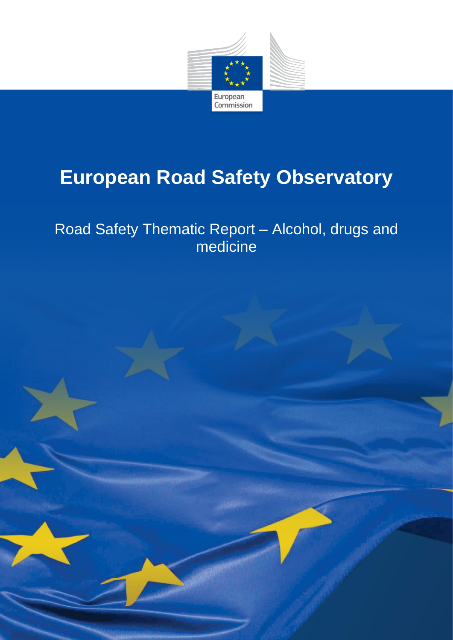

# **European Road Safety Observatory**

## Road Safety Thematic Report – Alcohol, drugs and medicine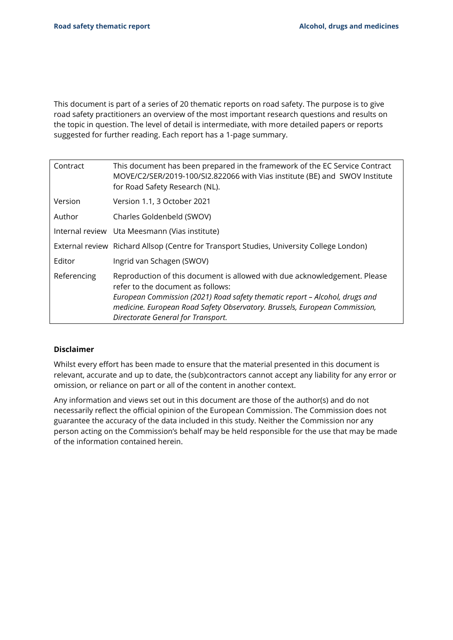This document is part of a series of 20 thematic reports on road safety. The purpose is to give road safety practitioners an overview of the most important research questions and results on the topic in question. The level of detail is intermediate, with more detailed papers or reports suggested for further reading. Each report has a 1-page summary.

| Contract    | This document has been prepared in the framework of the EC Service Contract<br>MOVE/C2/SER/2019-100/SI2.822066 with Vias institute (BE) and SWOV Institute<br>for Road Safety Research (NL).                                                                                                                      |
|-------------|-------------------------------------------------------------------------------------------------------------------------------------------------------------------------------------------------------------------------------------------------------------------------------------------------------------------|
| Version     | Version 1.1, 3 October 2021                                                                                                                                                                                                                                                                                       |
| Author      | Charles Goldenbeld (SWOV)                                                                                                                                                                                                                                                                                         |
|             | Internal review Uta Meesmann (Vias institute)                                                                                                                                                                                                                                                                     |
|             | External review Richard Allsop (Centre for Transport Studies, University College London)                                                                                                                                                                                                                          |
| Editor      | Ingrid van Schagen (SWOV)                                                                                                                                                                                                                                                                                         |
| Referencing | Reproduction of this document is allowed with due acknowledgement. Please<br>refer to the document as follows:<br>European Commission (2021) Road safety thematic report - Alcohol, drugs and<br>medicine. European Road Safety Observatory. Brussels, European Commission,<br>Directorate General for Transport. |

#### **Disclaimer**

Whilst every effort has been made to ensure that the material presented in this document is relevant, accurate and up to date, the (sub)contractors cannot accept any liability for any error or omission, or reliance on part or all of the content in another context.

Any information and views set out in this document are those of the author(s) and do not necessarily reflect the official opinion of the European Commission. The Commission does not guarantee the accuracy of the data included in this study. Neither the Commission nor any person acting on the Commission's behalf may be held responsible for the use that may be made of the information contained herein.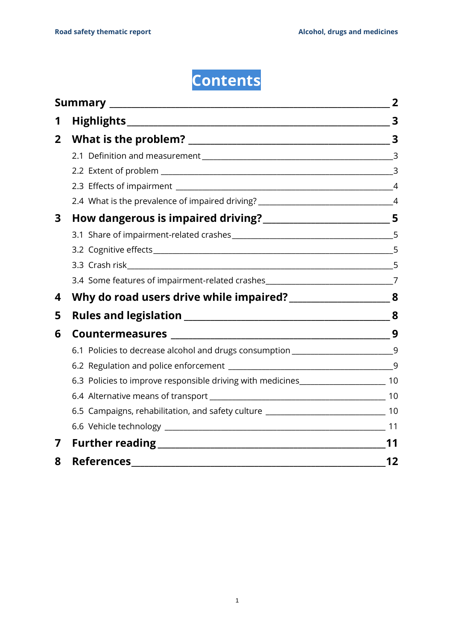**Contents**

|                |                                                                                      | $\overline{\mathbf{3}}$ |
|----------------|--------------------------------------------------------------------------------------|-------------------------|
| $\overline{2}$ |                                                                                      |                         |
|                |                                                                                      |                         |
|                |                                                                                      |                         |
|                |                                                                                      | $\overline{4}$          |
|                | 2.4 What is the prevalence of impaired driving? ________________________________4    |                         |
| 3              |                                                                                      |                         |
|                |                                                                                      |                         |
|                |                                                                                      |                         |
|                |                                                                                      | 5                       |
|                | 3.4 Some features of impairment-related crashes________________________________7     |                         |
| 4              |                                                                                      |                         |
| 5              |                                                                                      |                         |
| 6              |                                                                                      | 9                       |
|                | 6.1 Policies to decrease alcohol and drugs consumption _________________________9    |                         |
|                |                                                                                      |                         |
|                | 6.3 Policies to improve responsible driving with medicines_______________________ 10 |                         |
|                |                                                                                      |                         |
|                | 6.5 Campaigns, rehabilitation, and safety culture _______________________________ 10 |                         |
|                |                                                                                      |                         |
| 7              |                                                                                      | 11                      |
| 8              | <b>References</b>                                                                    | 12                      |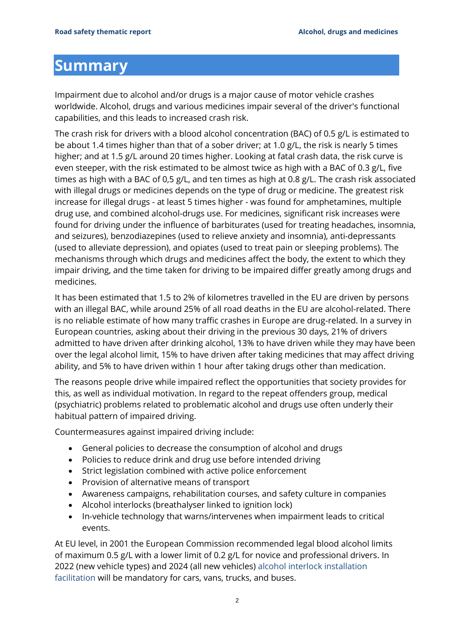### <span id="page-3-0"></span>**Summary**

Impairment due to alcohol and/or drugs is a major cause of motor vehicle crashes worldwide. Alcohol, drugs and various medicines impair several of the driver's functional capabilities, and this leads to increased crash risk.

The crash risk for drivers with a blood alcohol concentration (BAC) of 0.5 g/L is estimated to be about 1.4 times higher than that of a sober driver; at 1.0 g/L, the risk is nearly 5 times higher; and at 1.5 g/L around 20 times higher. Looking at fatal crash data, the risk curve is even steeper, with the risk estimated to be almost twice as high with a BAC of 0.3 g/L, five times as high with a BAC of 0,5 g/L, and ten times as high at 0.8 g/L. The crash risk associated with illegal drugs or medicines depends on the type of drug or medicine. The greatest risk increase for illegal drugs - at least 5 times higher - was found for amphetamines, multiple drug use, and combined alcohol-drugs use. For medicines, significant risk increases were found for driving under the influence of barbiturates (used for treating headaches, insomnia, and seizures), benzodiazepines (used to relieve anxiety and insomnia), anti-depressants (used to alleviate depression), and opiates (used to treat pain or sleeping problems). The mechanisms through which drugs and medicines affect the body, the extent to which they impair driving, and the time taken for driving to be impaired differ greatly among drugs and medicines.

It has been estimated that 1.5 to 2% of kilometres travelled in the EU are driven by persons with an illegal BAC, while around 25% of all road deaths in the EU are alcohol-related. There is no reliable estimate of how many traffic crashes in Europe are drug-related. In a survey in European countries, asking about their driving in the previous 30 days, 21% of drivers admitted to have driven after drinking alcohol, 13% to have driven while they may have been over the legal alcohol limit, 15% to have driven after taking medicines that may affect driving ability, and 5% to have driven within 1 hour after taking drugs other than medication.

The reasons people drive while impaired reflect the opportunities that society provides for this, as well as individual motivation. In regard to the repeat offenders group, medical (psychiatric) problems related to problematic alcohol and drugs use often underly their habitual pattern of impaired driving.

Countermeasures against impaired driving include:

- General policies to decrease the consumption of alcohol and drugs
- Policies to reduce drink and drug use before intended driving
- Strict legislation combined with active police enforcement
- Provision of alternative means of transport
- Awareness campaigns, rehabilitation courses, and safety culture in companies
- Alcohol interlocks (breathalyser linked to ignition lock)
- In-vehicle technology that warns/intervenes when impairment leads to critical events.

At EU level, in 2001 the European Commission recommended legal blood alcohol limits of maximum 0.5 g/L with a lower limit of 0.2 g/L for novice and professional drivers. In 2022 (new vehicle types) and 2024 (all new vehicles) alcohol interlock installation facilitation will be mandatory for cars, vans, trucks, and buses.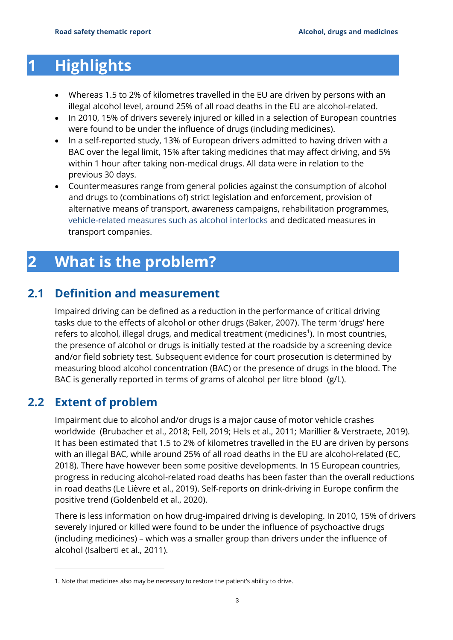### <span id="page-4-0"></span>**1 Highlights**

- Whereas 1.5 to 2% of kilometres travelled in the EU are driven by persons with an illegal alcohol level, around 25% of all road deaths in the EU are alcohol-related.
- In 2010, 15% of drivers severely injured or killed in a selection of European countries were found to be under the influence of drugs (including medicines).
- In a self-reported study, 13% of European drivers admitted to having driven with a BAC over the legal limit, 15% after taking medicines that may affect driving, and 5% within 1 hour after taking non-medical drugs. All data were in relation to the previous 30 days.
- Countermeasures range from general policies against the consumption of alcohol and drugs to (combinations of) strict legislation and enforcement, provision of alternative means of transport, awareness campaigns, rehabilitation programmes, vehicle-related measures such as alcohol interlocks and dedicated measures in transport companies.

## <span id="page-4-1"></span>**2 What is the problem?**

### **2.1 Definition and measurement**

<span id="page-4-2"></span>Impaired driving can be defined as a reduction in the performance of critical driving tasks due to the effects of alcohol or other drugs (Baker, 2007). The term 'drugs' here refers to alcohol, illegal drugs, and medical treatment (medicines<sup>1</sup>). In most countries, the presence of alcohol or drugs is initially tested at the roadside by a screening device and/or field sobriety test. Subsequent evidence for court prosecution is determined by measuring blood alcohol concentration (BAC) or the presence of drugs in the blood. The BAC is generally reported in terms of grams of alcohol per litre blood (g/L).

### <span id="page-4-3"></span>**2.2 Extent of problem**

Impairment due to alcohol and/or drugs is a major cause of motor vehicle crashes worldwide (Brubacher et al., 2018; Fell, 2019; Hels et al., 2011; Marillier & Verstraete, 2019). It has been estimated that 1.5 to 2% of kilometres travelled in the EU are driven by persons with an illegal BAC, while around 25% of all road deaths in the EU are alcohol-related (EC, 2018). There have however been some positive developments. In 15 European countries, progress in reducing alcohol-related road deaths has been faster than the overall reductions in road deaths (Le Lièvre et al., 2019). Self-reports on drink-driving in Europe confirm the positive trend (Goldenbeld et al., 2020).

There is less information on how drug-impaired driving is developing. In 2010, 15% of drivers severely injured or killed were found to be under the influence of psychoactive drugs (including medicines) – which was a smaller group than drivers under the influence of alcohol (Isalberti et al., 2011).

<sup>1.</sup> Note that medicines also may be necessary to restore the patient's ability to drive.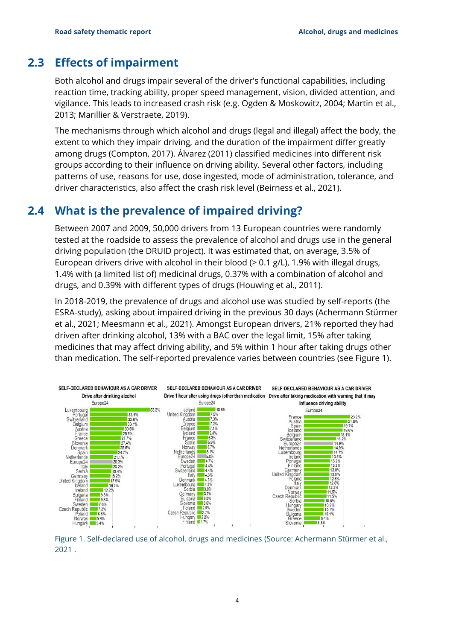#### **2.3 Effects of impairment**

<span id="page-5-0"></span>Both alcohol and drugs impair several of the driver's functional capabilities, including reaction time, tracking ability, proper speed management, vision, divided attention, and vigilance. This leads to increased crash risk (e.g. Ogden & Moskowitz, 2004; Martin et al., 2013; Marillier & Verstraete, 2019).

The mechanisms through which alcohol and drugs (legal and illegal) affect the body, the extent to which they impair driving, and the duration of the impairment differ greatly among drugs (Compton, 2017). Álvarez (2011) classified medicines into different risk groups according to their influence on driving ability. Several other factors, including patterns of use, reasons for use, dose ingested, mode of administration, tolerance, and driver characteristics, also affect the crash risk level (Beirness et al., 2021).

#### **2.4 What is the prevalence of impaired driving?**

<span id="page-5-1"></span>Between 2007 and 2009, 50,000 drivers from 13 European countries were randomly tested at the roadside to assess the prevalence of alcohol and drugs use in the general driving population (the DRUID project). It was estimated that, on average, 3.5% of European drivers drive with alcohol in their blood (> 0.1 g/L), 1.9% with illegal drugs, 1.4% with (a limited list of) medicinal drugs, 0.37% with a combination of alcohol and drugs, and 0.39% with different types of drugs (Houwing et al., 2011).

In 2018-2019, the prevalence of drugs and alcohol use was studied by self-reports (the [ESRA-study\)](https://www.esranet.eu/), asking about impaired driving in the previous 30 days (Achermann Stürmer et al., 2021; Meesmann et al., 2021). Amongst European drivers, 21% reported they had driven after drinking alcohol, 13% with a BAC over the legal limit, 15% after taking medicines that may affect driving ability, and 5% within 1 hour after taking drugs other than medication. The self-reported prevalence varies between countries (see Figure 1).



Figure 1. Self-declared use of alcohol, drugs and medicines (Source: Achermann Stürmer et al., 2021 .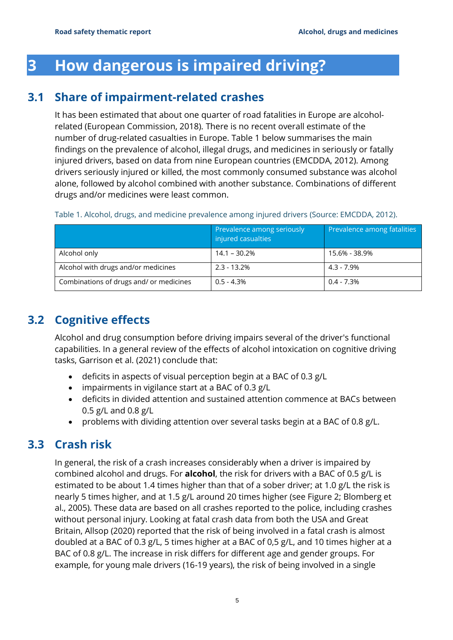## <span id="page-6-0"></span>**3 How dangerous is impaired driving?**

#### **3.1 Share of impairment-related crashes**

<span id="page-6-1"></span>It has been estimated that about one quarter of road fatalities in Europe are alcoholrelated (European Commission, 2018). There is no recent overall estimate of the number of drug-related casualties in Europe. Table 1 below summarises the main findings on the prevalence of alcohol, illegal drugs, and medicines in seriously or fatally injured drivers, based on data from nine European countries (EMCDDA, 2012). Among drivers seriously injured or killed, the most commonly consumed substance was alcohol alone, followed by alcohol combined with another substance. Combinations of different drugs and/or medicines were least common.

|                                         | Prevalence among seriously<br>injured casualties | Prevalence among fatalities |
|-----------------------------------------|--------------------------------------------------|-----------------------------|
| Alcohol only                            | $14.1 - 30.2%$                                   | 15.6% - 38.9%               |
| Alcohol with drugs and/or medicines     | $2.3 - 13.2%$                                    | $4.3 - 7.9\%$               |
| Combinations of drugs and/ or medicines | $0.5 - 4.3%$                                     | $0.4 - 7.3\%$               |

#### Table 1. Alcohol, drugs, and medicine prevalence among injured drivers (Source: EMCDDA, 2012).

#### **3.2 Cognitive effects**

<span id="page-6-2"></span>Alcohol and drug consumption before driving impairs several of the driver's functional capabilities. In a general review of the effects of alcohol intoxication on cognitive driving tasks, Garrison et al. (2021) conclude that:

- deficits in aspects of visual perception begin at a BAC of 0.3 g/L
- impairments in vigilance start at a BAC of 0.3 g/L
- deficits in divided attention and sustained attention commence at BACs between 0.5 g/L and 0.8 g/L
- <span id="page-6-3"></span>• problems with dividing attention over several tasks begin at a BAC of 0.8 g/L.

#### **3.3 Crash risk**

In general, the risk of a crash increases considerably when a driver is impaired by combined alcohol and drugs. For **alcohol**, the risk for drivers with a BAC of 0.5 g/L is estimated to be about 1.4 times higher than that of a sober driver; at 1.0 g/L the risk is nearly 5 times higher, and at 1.5 g/L around 20 times higher (see Figure 2; Blomberg et al., 2005). These data are based on all crashes reported to the police, including crashes without personal injury. Looking at fatal crash data from both the USA and Great Britain, Allsop (2020) reported that the risk of being involved in a fatal crash is almost doubled at a BAC of 0.3 g/L, 5 times higher at a BAC of 0,5 g/L, and 10 times higher at a BAC of 0.8 g/L. The increase in risk differs for different age and gender groups. For example, for young male drivers (16-19 years), the risk of being involved in a single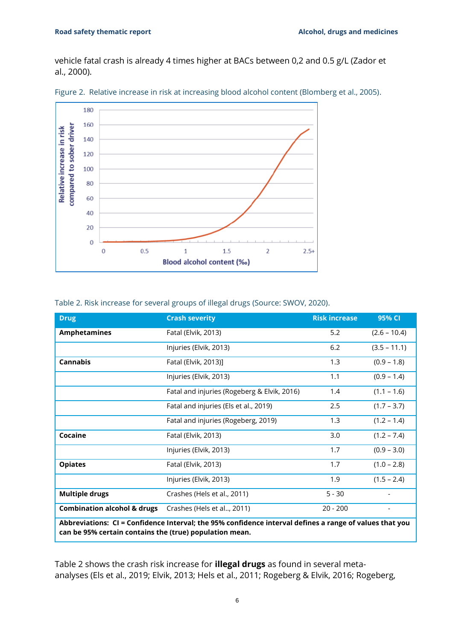vehicle fatal crash is already 4 times higher at BACs between 0,2 and 0.5 g/L (Zador et al., 2000).



Figure 2. Relative increase in risk at increasing blood alcohol content (Blomberg et al., 2005).

| Table 2. Risk increase for several groups of illegal drugs (Source: SWOV, 2020). |  |  |  |  |
|----------------------------------------------------------------------------------|--|--|--|--|
|                                                                                  |  |  |  |  |

| <b>Drug</b>                                                                                                                                                        | <b>Crash severity</b>                       | <b>Risk increase</b> | 95% CI                   |  |  |
|--------------------------------------------------------------------------------------------------------------------------------------------------------------------|---------------------------------------------|----------------------|--------------------------|--|--|
| <b>Amphetamines</b>                                                                                                                                                | Fatal (Elvik, 2013)                         | 5.2                  | $(2.6 - 10.4)$           |  |  |
|                                                                                                                                                                    | Injuries (Elvik, 2013)                      | 6.2                  | $(3.5 - 11.1)$           |  |  |
| <b>Cannabis</b>                                                                                                                                                    | Fatal (Elvik, 2013)]                        | 1.3                  | $(0.9 - 1.8)$            |  |  |
|                                                                                                                                                                    | Injuries (Elvik, 2013)                      | 1.1                  | $(0.9 - 1.4)$            |  |  |
|                                                                                                                                                                    | Fatal and injuries (Rogeberg & Elvik, 2016) | 1.4                  | $(1.1 - 1.6)$            |  |  |
|                                                                                                                                                                    | Fatal and injuries (Els et al., 2019)       | 2.5                  | $(1.7 - 3.7)$            |  |  |
|                                                                                                                                                                    | Fatal and injuries (Rogeberg, 2019)         | 1.3                  | $(1.2 - 1.4)$            |  |  |
| Cocaine                                                                                                                                                            | Fatal (Elvik, 2013)                         | 3.0                  | $(1.2 - 7.4)$            |  |  |
|                                                                                                                                                                    | Injuries (Elvik, 2013)                      | 1.7                  | $(0.9 - 3.0)$            |  |  |
| <b>Opiates</b>                                                                                                                                                     | Fatal (Elvik, 2013)                         | 1.7                  | $(1.0 - 2.8)$            |  |  |
|                                                                                                                                                                    | Injuries (Elvik, 2013)                      | 1.9                  | $(1.5 - 2.4)$            |  |  |
| <b>Multiple drugs</b>                                                                                                                                              | Crashes (Hels et al., 2011)                 | $5 - 30$             | $\overline{\phantom{a}}$ |  |  |
| <b>Combination alcohol &amp; drugs</b>                                                                                                                             | Crashes (Hels et al, 2011)                  | $20 - 200$           |                          |  |  |
| Abbreviations: CI = Confidence Interval; the 95% confidence interval defines a range of values that you<br>can be 95% certain contains the (true) population mean. |                                             |                      |                          |  |  |

Table 2 shows the crash risk increase for **illegal drugs** as found in several metaanalyses (Els et al., 2019; Elvik, 2013; Hels et al., 2011; Rogeberg & Elvik, 2016; Rogeberg,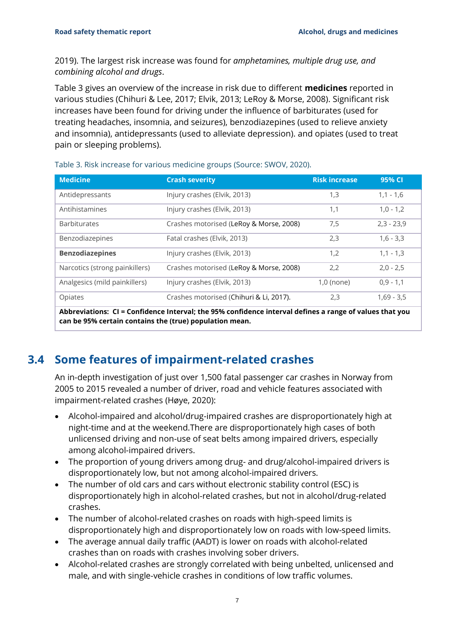2019). The largest risk increase was found for *amphetamines, multiple drug use, and combining alcohol and drugs*.

Table 3 gives an overview of the increase in risk due to different **medicines** reported in various studies (Chihuri & Lee, 2017; Elvik, 2013; LeRoy & Morse, 2008). Significant risk increases have been found for driving under the influence of barbiturates (used for treating headaches, insomnia, and seizures), benzodiazepines (used to relieve anxiety and insomnia), antidepressants (used to alleviate depression). and opiates (used to treat pain or sleeping problems).

| <b>Medicine</b>                                                                                                                                                    | <b>Crash severity</b>                   | <b>Risk increase</b> | 95% CI       |  |  |
|--------------------------------------------------------------------------------------------------------------------------------------------------------------------|-----------------------------------------|----------------------|--------------|--|--|
| Antidepressants                                                                                                                                                    | Injury crashes (Elvik, 2013)            | 1,3                  | $1,1 - 1,6$  |  |  |
| Antihistamines                                                                                                                                                     | Injury crashes (Elvik, 2013)            | 1,1                  | $1,0 - 1,2$  |  |  |
| <b>Barbiturates</b>                                                                                                                                                | Crashes motorised (LeRoy & Morse, 2008) | 7,5                  | $2,3 - 23,9$ |  |  |
| Benzodiazepines                                                                                                                                                    | Fatal crashes (Elvik, 2013)             | 2,3                  | $1,6 - 3,3$  |  |  |
| <b>Benzodiazepines</b>                                                                                                                                             | Injury crashes (Elvik, 2013)            | 1,2                  | $1,1 - 1,3$  |  |  |
| Narcotics (strong painkillers)                                                                                                                                     | Crashes motorised (LeRoy & Morse, 2008) | 2.2                  | $2,0 - 2,5$  |  |  |
| Analgesics (mild painkillers)                                                                                                                                      | Injury crashes (Elvik, 2013)            | $1,0$ (none)         | $0,9 - 1,1$  |  |  |
| Opiates                                                                                                                                                            | Crashes motorised (Chihuri & Li, 2017). | 2,3                  | $1,69 - 3,5$ |  |  |
| Abbreviations: CI = Confidence Interval; the 95% confidence interval defines a range of values that you<br>can be 95% certain contains the (true) population mean. |                                         |                      |              |  |  |

Table 3. Risk increase for various medicine groups (Source: SWOV, 2020).

#### **3.4 Some features of impairment-related crashes**

<span id="page-8-0"></span>An in-depth investigation of just over 1,500 fatal passenger car crashes in Norway from 2005 to 2015 revealed a number of driver, road and vehicle features associated with impairment-related crashes (Høye, 2020):

- Alcohol-impaired and alcohol/drug-impaired crashes are disproportionately high at night-time and at the weekend.There are disproportionately high cases of both unlicensed driving and non-use of seat belts among impaired drivers, especially among alcohol-impaired drivers.
- The proportion of young drivers among drug- and drug/alcohol-impaired drivers is disproportionately low, but not among alcohol-impaired drivers.
- The number of old cars and cars without electronic stability control (ESC) is disproportionately high in alcohol-related crashes, but not in alcohol/drug-related crashes.
- The number of alcohol-related crashes on roads with high-speed limits is disproportionately high and disproportionately low on roads with low-speed limits.
- The average annual daily traffic (AADT) is lower on roads with alcohol-related crashes than on roads with crashes involving sober drivers.
- Alcohol-related crashes are strongly correlated with being unbelted, unlicensed and male, and with single-vehicle crashes in conditions of low traffic volumes.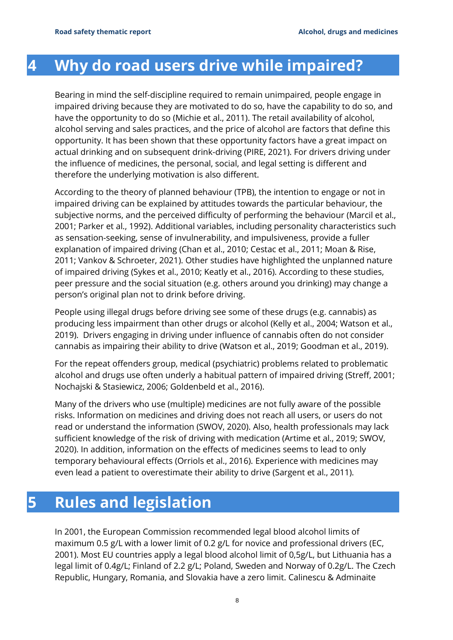### <span id="page-9-0"></span>**4 Why do road users drive while impaired?**

Bearing in mind the self-discipline required to remain unimpaired, people engage in impaired driving because they are motivated to do so, have the capability to do so, and have the opportunity to do so (Michie et al., 2011). The retail availability of alcohol, alcohol serving and sales practices, and the price of alcohol are factors that define this opportunity. It has been shown that these opportunity factors have a great impact on actual drinking and on subsequent drink-driving (PIRE, 2021). For drivers driving under the influence of medicines, the personal, social, and legal setting is different and therefore the underlying motivation is also different.

According to the theory of planned behaviour (TPB), the intention to engage or not in impaired driving can be explained by attitudes towards the particular behaviour, the subjective norms, and the perceived difficulty of performing the behaviour (Marcil et al., 2001; Parker et al., 1992). Additional variables, including personality characteristics such as sensation-seeking, sense of invulnerability, and impulsiveness, provide a fuller explanation of impaired driving (Chan et al., 2010; Cestac et al., 2011; Moan & Rise, 2011; Vankov & Schroeter, 2021). Other studies have highlighted the unplanned nature of impaired driving (Sykes et al., 2010; Keatly et al., 2016). According to these studies, peer pressure and the social situation (e.g. others around you drinking) may change a person's original plan not to drink before driving.

People using illegal drugs before driving see some of these drugs (e.g. cannabis) as producing less impairment than other drugs or alcohol (Kelly et al., 2004; Watson et al., 2019). Drivers engaging in driving under influence of cannabis often do not consider cannabis as impairing their ability to drive (Watson et al., 2019; Goodman et al., 2019).

For the repeat offenders group, medical (psychiatric) problems related to problematic alcohol and drugs use often underly a habitual pattern of impaired driving (Streff, 2001; Nochajski & Stasiewicz, 2006; Goldenbeld et al., 2016).

Many of the drivers who use (multiple) medicines are not fully aware of the possible risks. Information on medicines and driving does not reach all users, or users do not read or understand the information (SWOV, 2020). Also, health professionals may lack sufficient knowledge of the risk of driving with medication (Artime et al., 2019; SWOV, 2020). In addition, information on the effects of medicines seems to lead to only temporary behavioural effects (Orriols et al., 2016). Experience with medicines may even lead a patient to overestimate their ability to drive (Sargent et al., 2011).

### <span id="page-9-1"></span>**5 Rules and legislation**

In 2001, the European Commission recommended legal blood alcohol limits of maximum 0.5 g/L with a lower limit of 0.2 g/L for novice and professional drivers (EC, 2001). Most EU countries apply a legal blood alcohol limit of 0,5g/L, but Lithuania has a legal limit of 0.4g/L; Finland of 2.2 g/L; Poland, Sweden and Norway of 0.2g/L. The Czech Republic, Hungary, Romania, and Slovakia have a zero limit. Calinescu & Adminaite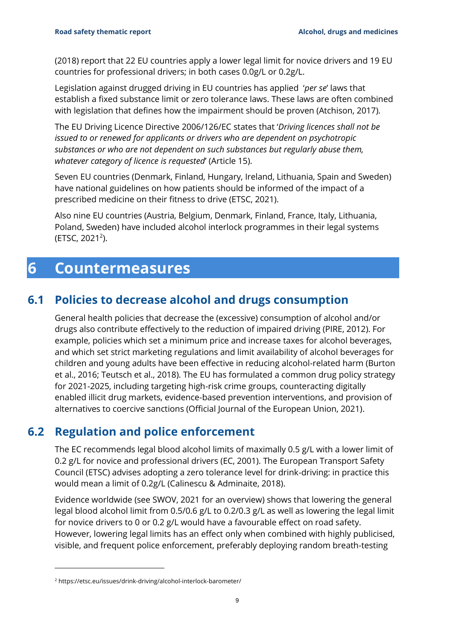(2018) report that 22 EU countries apply a lower legal limit for novice drivers and 19 EU countries for professional drivers; in both cases 0.0g/L or 0.2g/L.

Legislation against drugged driving in EU countries has applied '*per se*' laws that establish a fixed substance limit or zero tolerance laws. These laws are often combined with legislation that defines how the impairment should be proven (Atchison, 2017).

The EU Driving Licence Directive 2006/126/EC states that '*Driving licences shall not be issued to or renewed for applicants or drivers who are dependent on psychotropic substances or who are not dependent on such substances but regularly abuse them, whatever category of licence is requested*' (Article 15).

Seven EU countries (Denmark, Finland, Hungary, Ireland, Lithuania, Spain and Sweden) have national guidelines on how patients should be informed of the impact of a prescribed medicine on their fitness to drive (ETSC, 2021).

Also nine EU countries (Austria, Belgium, Denmark, Finland, France, Italy, Lithuania, Poland, Sweden) have included alcohol interlock programmes in their legal systems  $(ETSC, 2021<sup>2</sup>).$ 

### <span id="page-10-0"></span>**6 Countermeasures**

#### **6.1 Policies to decrease alcohol and drugs consumption**

<span id="page-10-1"></span>General health policies that decrease the (excessive) consumption of alcohol and/or drugs also contribute effectively to the reduction of impaired driving (PIRE, 2012). For example, policies which set a minimum price and increase taxes for alcohol beverages, and which set strict marketing regulations and limit availability of alcohol beverages for children and young adults have been effective in reducing alcohol-related harm (Burton et al., 2016; Teutsch et al., 2018). The EU has formulated a common drug policy strategy for 2021-2025, including targeting high-risk crime groups, counteracting digitally enabled illicit drug markets, evidence-based prevention interventions, and provision of alternatives to coercive sanctions (Official Journal of the European Union, 2021).

#### **6.2 Regulation and police enforcement**

<span id="page-10-2"></span>The EC recommends legal blood alcohol limits of maximally 0.5 g/L with a lower limit of 0.2 g/L for novice and professional drivers (EC, 2001). The European Transport Safety Council (ETSC) advises adopting a zero tolerance level for drink-driving: in practice this would mean a limit of 0.2g/L (Calinescu & Adminaite, 2018).

Evidence worldwide (see SWOV, 2021 for an overview) shows that lowering the general legal blood alcohol limit from 0.5/0.6 g/L to 0.2/0.3 g/L as well as lowering the legal limit for novice drivers to 0 or 0.2 g/L would have a favourable effect on road safety. However, lowering legal limits has an effect only when combined with highly publicised, visible, and frequent police enforcement, preferably deploying random breath-testing

<sup>2</sup> https://etsc.eu/issues/drink-driving/alcohol-interlock-barometer/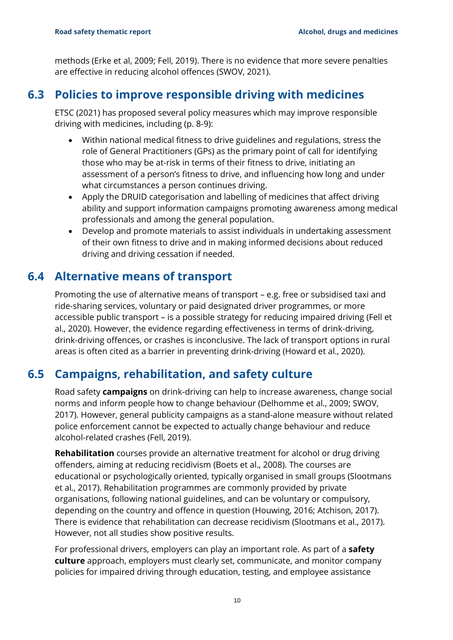methods (Erke et al, 2009; Fell, 2019). There is no evidence that more severe penalties are effective in reducing alcohol offences (SWOV, 2021).

#### **6.3 Policies to improve responsible driving with medicines**

<span id="page-11-0"></span>ETSC (2021) has proposed several policy measures which may improve responsible driving with medicines, including (p. 8-9):

- Within national medical fitness to drive guidelines and regulations, stress the role of General Practitioners (GPs) as the primary point of call for identifying those who may be at-risk in terms of their fitness to drive, initiating an assessment of a person's fitness to drive, and influencing how long and under what circumstances a person continues driving.
- Apply the DRUID categorisation and labelling of medicines that affect driving ability and support information campaigns promoting awareness among medical professionals and among the general population.
- Develop and promote materials to assist individuals in undertaking assessment of their own fitness to drive and in making informed decisions about reduced driving and driving cessation if needed.

#### **6.4 Alternative means of transport**

<span id="page-11-1"></span>Promoting the use of alternative means of transport – e.g. free or subsidised taxi and ride-sharing services, voluntary or paid designated driver programmes, or more accessible public transport – is a possible strategy for reducing impaired driving (Fell et al., 2020). However, the evidence regarding effectiveness in terms of drink-driving, drink-driving offences, or crashes is inconclusive. The lack of transport options in rural areas is often cited as a barrier in preventing drink-driving (Howard et al., 2020).

### **6.5 Campaigns, rehabilitation, and safety culture**

<span id="page-11-2"></span>Road safety **campaigns** on drink-driving can help to increase awareness, change social norms and inform people how to change behaviour (Delhomme et al., 2009; SWOV, 2017). However, general publicity campaigns as a stand-alone measure without related police enforcement cannot be expected to actually change behaviour and reduce alcohol-related crashes (Fell, 2019).

**Rehabilitation** courses provide an alternative treatment for alcohol or drug driving offenders, aiming at reducing recidivism (Boets et al., 2008). The courses are educational or psychologically oriented, typically organised in small groups (Slootmans et al., 2017). Rehabilitation programmes are commonly provided by private organisations, following national guidelines, and can be voluntary or compulsory, depending on the country and offence in question (Houwing, 2016; Atchison, 2017). There is evidence that rehabilitation can decrease recidivism (Slootmans et al., 2017). However, not all studies show positive results.

For professional drivers, employers can play an important role. As part of a **safety culture** approach, employers must clearly set, communicate, and monitor company policies for impaired driving through education, testing, and employee assistance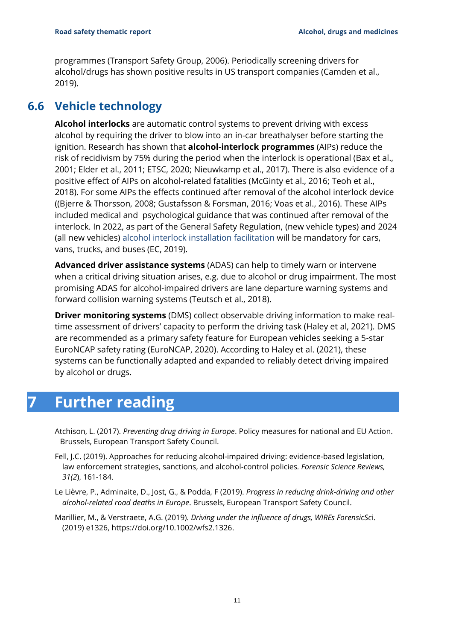programmes (Transport Safety Group, 2006). Periodically screening drivers for alcohol/drugs has shown positive results in US transport companies (Camden et al., 2019).

#### **6.6 Vehicle technology**

<span id="page-12-0"></span>**Alcohol interlocks** are automatic control systems to prevent driving with excess alcohol by requiring the driver to blow into an in-car breathalyser before starting the ignition. Research has shown that **alcohol-interlock programmes** (AIPs) reduce the risk of recidivism by 75% during the period when the interlock is operational (Bax et al., 2001; Elder et al., 2011; ETSC, 2020; Nieuwkamp et al., 2017). There is also evidence of a positive effect of AIPs on alcohol-related fatalities (McGinty et al., 2016; Teoh et al., 2018). For some AIPs the effects continued after removal of the alcohol interlock device ((Bjerre & Thorsson, 2008; Gustafsson & Forsman, 2016; Voas et al., 2016). These AIPs included medical and psychological guidance that was continued after removal of the interlock. In 2022, as part of the General Safety Regulation, (new vehicle types) and 2024 (all new vehicles) alcohol interlock installation facilitation will be mandatory for cars, vans, trucks, and buses (EC, 2019).

**Advanced driver assistance systems** (ADAS) can help to timely warn or intervene when a critical driving situation arises, e.g. due to alcohol or drug impairment. The most promising ADAS for alcohol-impaired drivers are lane departure warning systems and forward collision warning systems (Teutsch et al., 2018).

**Driver monitoring systems** (DMS) collect observable driving information to make realtime assessment of drivers' capacity to perform the driving task (Haley et al, 2021). DMS are recommended as a primary safety feature for European vehicles seeking a 5-star EuroNCAP safety rating (EuroNCAP, 2020). According to Haley et al. (2021), these systems can be functionally adapted and expanded to reliably detect driving impaired by alcohol or drugs.

### <span id="page-12-1"></span>**7 Further reading**

Atchison, L. (2017). *Preventing drug driving in Europe*. Policy measures for national and EU Action. Brussels, European Transport Safety Council.

- Fell, J.C. (2019). Approaches for reducing alcohol-impaired driving: evidence-based legislation, law enforcement strategies, sanctions, and alcohol-control policies*. Forensic Science Reviews, 31(2*), 161-184.
- Le Lièvre, P., Adminaite, D., Jost, G., & Podda, F (2019). *Progress in reducing drink-driving and other alcohol-related road deaths in Europe*. Brussels, European Transport Safety Council.
- Marillier, M., & Verstraete, A.G. (2019). *Driving under the influence of drugs, WIREs ForensicSc*i. (2019) e1326, [https://doi.org/10.1002/wfs2.1326.](https://doi.org/10.1002/wfs2.1326)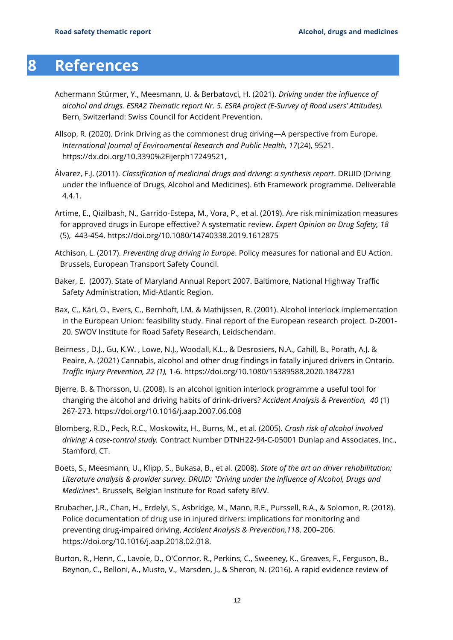### <span id="page-13-0"></span>**8 References**

- Achermann Stürmer, Y., Meesmann, U. & Berbatovci, H. (2021). *Driving under the influence of alcohol and drugs. ESRA2 Thematic report Nr. 5. ESRA project (E-Survey of Road users' Attitudes).* Bern, Switzerland: Swiss Council for Accident Prevention.
- Allsop, R. (2020). Drink Driving as the commonest drug driving—A perspective from Europe. *International Journal of Environmental Research and Public Health, 17*(24), 9521. [https://dx.doi.org/10.3390%2Fijerph17249521,](https://dx.doi.org/10.3390%2Fijerph17249521)
- Álvarez, F.J. (2011). *Classification of medicinal drugs and driving: a synthesis report*. DRUID (Driving under the Influence of Drugs, Alcohol and Medicines). 6th Framework programme. Deliverable 4.4.1.
- Artime, E., Qizilbash, N., Garrido-Estepa, M., Vora, P., et al. (2019). Are risk minimization measures for approved drugs in Europe effective? A systematic review. *Expert Opinion on Drug Safety, 18* (5), 443-454.<https://doi.org/10.1080/14740338.2019.1612875>
- Atchison, L. (2017). *Preventing drug driving in Europe*. Policy measures for national and EU Action. Brussels, European Transport Safety Council.
- Baker, E. (2007). State of Maryland Annual Report 2007. Baltimore, National Highway Traffic Safety Administration, Mid-Atlantic Region.
- Bax, C., Käri, O., Evers, C., Bernhoft, I.M. & Mathijssen, R. (2001). Alcohol interlock implementation in the European Union: feasibility study. Final report of the European research project. D-2001- 20. SWOV Institute for Road Safety Research, Leidschendam.
- Beirness , D.J., Gu, K.W. , Lowe, N.J., Woodall, K.L., & Desrosiers, N.A., Cahill, B., Porath, A.J. & Peaire, A. (2021) Cannabis, alcohol and other drug findings in fatally injured drivers in Ontario. *Traffic Injury Prevention, 22 (1),* 1-6.<https://doi.org/10.1080/15389588.2020.1847281>
- Bjerre, B. & Thorsson, U. (2008). Is an alcohol ignition interlock programme a useful tool for changing the alcohol and driving habits of drink-drivers? *Accident Analysis & Prevention, 40* (1) 267-273. https://doi.org/10.1016/j.aap.2007.06.008
- Blomberg, R.D., Peck, R.C., Moskowitz, H., Burns, M., et al. (2005). *Crash risk of alcohol involved driving: A case-control study.* Contract Number DTNH22-94-C-05001 Dunlap and Associates, Inc., Stamford, CT.
- Boets, S., Meesmann, U., Klipp, S., Bukasa, B., et al. (2008). *State of the art on driver rehabilitation; Literature analysis & provider survey. DRUID: "Driving under the influence of Alcohol, Drugs and Medicines".* Brussels, Belgian Institute for Road safety BIVV.
- Brubacher, J.R., Chan, H., Erdelyi, S., Asbridge, M., Mann, R.E., Purssell, R.A., & Solomon, R. (2018). Police documentation of drug use in injured drivers: implications for monitoring and preventing drug-impaired driving, *Accident Analysis & Prevention,118*, 200–206. https://doi.org/10.1016/j.aap.2018.02.018.
- Burton, R., Henn, C., Lavoie, D., O'Connor, R., Perkins, C., Sweeney, K., Greaves, F., Ferguson, B., Beynon, C., Belloni, A., Musto, V., Marsden, J., & Sheron, N. (2016). A rapid evidence review of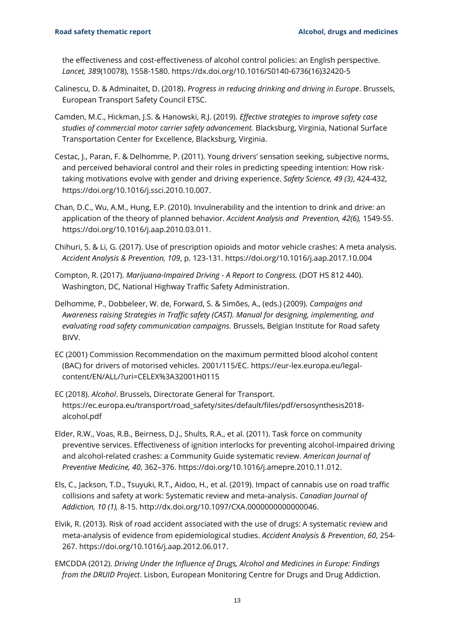the effectiveness and cost-effectiveness of alcohol control policies: an English perspective. *Lancet, 389*(10078), 1558-1580. https://dx.doi.org/10.1016/S0140-6736(16)32420-5

- Calinescu, D. & Adminaitet, D. (2018). *Progress in reducing drinking and driving in Europe*. Brussels, European Transport Safety Council ETSC.
- Camden, M.C., Hickman, J.S. & Hanowski, R.J. (2019). *Effective strategies to improve safety case studies of commercial motor carrier safety advancement.* Blacksburg, Virginia, National Surface Transportation Center for Excellence, Blacksburg, Virginia.
- Cestac, J., Paran, F. & Delhomme, P. (2011). Young drivers' sensation seeking, subjective norms, and perceived behavioral control and their roles in predicting speeding intention: How risktaking motivations evolve with gender and driving experience. *Safety Science, 49 (3)*, 424-432, [https://doi.org/10.1016/j.ssci.2010.10.007.](https://doi.org/10.1016/j.ssci.2010.10.007)
- Chan, D.C., Wu, A.M., Hung, E.P. (2010). Invulnerability and the intention to drink and drive: an application of the theory of planned behavior. *Accident Analysis and Prevention, 42(6),* 1549-55. [https://doi.org/10.1016/j.aap.2010.03.011.](https://doi.org/10.1016/j.aap.2010.03.011)
- Chihuri, S. & Li, G. (2017). Use of prescription opioids and motor vehicle crashes: A meta analysis. *Accident Analysis & Prevention, 109*, p. 123-131. <https://doi.org/10.1016/j.aap.2017.10.004>
- Compton, R. (2017). *Marijuana-Impaired Driving - A Report to Congress.* (DOT HS 812 440). Washington, DC, National Highway Traffic Safety Administration.
- Delhomme, P., Dobbeleer, W. de, Forward, S. & Simões, A., (eds.) (2009). *Campaigns and Awareness raising Strategies in Traffic safety (CAST). Manual for designing, implementing, and evaluating road safety communication campaigns.* Brussels, Belgian Institute for Road safety BIVV.
- EC (2001) Commission Recommendation on the maximum permitted blood alcohol content (BAC) for drivers of motorised vehicles. 2001/115/EC. [https://eur-lex.europa.eu/legal](https://eur-lex.europa.eu/legal-content/EN/ALL/?uri=CELEX%3A32001H0115)[content/EN/ALL/?uri=CELEX%3A32001H0115](https://eur-lex.europa.eu/legal-content/EN/ALL/?uri=CELEX%3A32001H0115)
- EC (2018). *Alcohol*. Brussels, Directorate General for Transport. [https://ec.europa.eu/transport/road\\_safety/sites/default/files/pdf/ersosynthesis2018](https://ec.europa.eu/transport/road_safety/sites/default/files/pdf/ersosynthesis2018-alcohol.pdf) [alcohol.pdf](https://ec.europa.eu/transport/road_safety/sites/default/files/pdf/ersosynthesis2018-alcohol.pdf)
- Elder, R.W., Voas, R.B., Beirness, D.J., Shults, R.A., et al. (2011). Task force on community preventive services. Effectiveness of ignition interlocks for preventing alcohol-impaired driving and alcohol-related crashes: a Community Guide systematic review. *American Journal of Preventive Medicine, 40*, 362–376. [https://doi.org/10.1016/j.amepre.2010.11.012.](https://doi.org/10.1016/j.amepre.2010.11.012)
- Els, C., Jackson, T.D., Tsuyuki, R.T., Aidoo, H., et al. (2019). Impact of cannabis use on road traffic collisions and safety at work: Systematic review and meta-analysis. *Canadian Journal of Addiction, 10 (1),* 8-15. [http://dx.doi.org/10.1097/CXA.0000000000000046.](http://dx.doi.org/10.1097/CXA.0000000000000046)
- Elvik, R. (2013). Risk of road accident associated with the use of drugs: A systematic review and meta-analysis of evidence from epidemiological studies. *Accident Analysis & Prevention*, *60*, 254- 267. [https://doi.org/10.1016/j.aap.2012.06.017.](https://doi.org/10.1016/j.aap.2012.06.017)
- EMCDDA (2012). *Driving Under the Influence of Drugs, Alcohol and Medicines in Europe: Findings from the DRUID Project*. Lisbon, European Monitoring Centre for Drugs and Drug Addiction.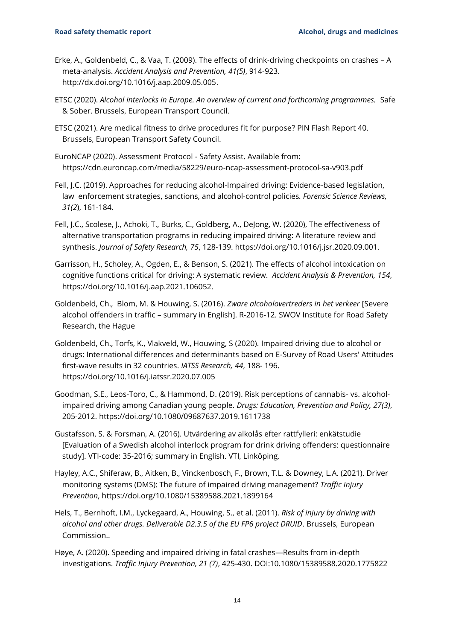- Erke, A., Goldenbeld, C., & Vaa, T. (2009). The effects of drink-driving checkpoints on crashes A meta-analysis. *Accident Analysis and Prevention, 41(5)*, 914-923. [http://dx.doi.org/10.1016/j.aap.2009.05.005.](http://dx.doi.org/10.1016/j.aap.2009.05.005)
- ETSC (2020). *Alcohol interlocks in Europe. An overview of current and forthcoming programmes.* Safe & Sober. Brussels, European Transport Council.
- ETSC (2021). Are medical fitness to drive procedures fit for purpose? PIN Flash Report 40. Brussels, European Transport Safety Council.
- EuroNCAP (2020). Assessment Protocol Safety Assist. Available from: <https://cdn.euroncap.com/media/58229/euro-ncap-assessment-protocol-sa-v903.pdf>
- Fell, J.C. (2019). Approaches for reducing alcohol-Impaired driving: Evidence-based legislation, law enforcement strategies, sanctions, and alcohol-control policies*. Forensic Science Reviews, 31(2*), 161-184.
- Fell, J.C., Scolese, J., Achoki, T., Burks, C., Goldberg, A., DeJong, W. (2020), The effectiveness of alternative transportation programs in reducing impaired driving: A literature review and synthesis. *Journal of Safety Research, 75*, 128-139. [https://doi.org/10.1016/j.jsr.2020.09.001.](https://doi.org/10.1016/j.jsr.2020.09.001)
- Garrisson, H., Scholey, A., Ogden, E., & Benson, S. (2021). The effects of alcohol intoxication on cognitive functions critical for driving: A systematic review. *Accident Analysis & Prevention, 154*, https://doi.org/10.1016/j.aap.2021.106052.
- Goldenbeld, Ch., Blom, M. & Houwing, S. (2016). *Zware alcoholovertreders in het verkeer* [Severe alcohol offenders in traffic – summary in English]. R-2016-12. SWOV Institute for Road Safety Research, the Hague
- Goldenbeld, Ch., Torfs, K., Vlakveld, W., Houwing, S (2020). Impaired driving due to alcohol or drugs: International differences and determinants based on E-Survey of Road Users' Attitudes first-wave results in 32 countries. *IATSS Research, 44*, 188- 196. https://doi.org/10.1016/j.iatssr.2020.07.005
- Goodman, S.E., Leos-Toro, C., & Hammond, D. (2019). Risk perceptions of cannabis- vs. alcoholimpaired driving among Canadian young people. *Drugs: Education, Prevention and Policy, 27(3)*, 205-2012.<https://doi.org/10.1080/09687637.2019.1611738>
- Gustafsson, S. & Forsman, A. (2016). Utvärdering av alkolås efter rattfylleri: enkätstudie [Evaluation of a Swedish alcohol interlock program for drink driving offenders: questionnaire study]. VTI-code: 35-2016; summary in English. VTI, Linköping.
- Hayley, A.C., Shiferaw, B., Aitken, B., Vinckenbosch, F., Brown, T.L. & Downey, L.A. (2021). Driver monitoring systems (DMS): The future of impaired driving management? *Traffic Injury Prevention*,<https://doi.org/10.1080/15389588.2021.1899164>
- Hels, T., Bernhoft, I.M., Lyckegaard, A., Houwing, S., et al. (2011). *Risk of injury by driving with alcohol and other drugs. Deliverable D2.3.5 of the EU FP6 project DRUID*. Brussels, European Commission..
- Høye, A. (2020). Speeding and impaired driving in fatal crashes—Results from in-depth investigations. *Traffic Injury Prevention, 21 (7)*, 425-430. DOI:10.1080/15389588.2020.1775822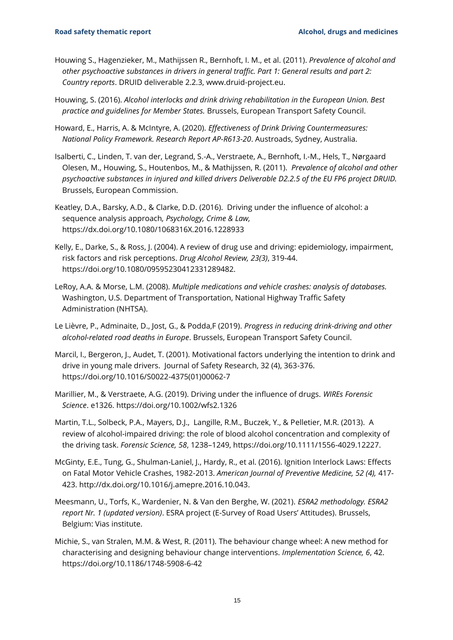- Houwing S., Hagenzieker, M., Mathijssen R., Bernhoft, I. M., et al. (2011). *Prevalence of alcohol and other psychoactive substances in drivers in general traffic. Part 1: General results and part 2: Country reports*. DRUID deliverable 2.2.3, [www.druid-project.eu.](http://www.druid-project.eu/)
- Houwing, S. (2016). *Alcohol interlocks and drink driving rehabilitation in the European Union. Best practice and guidelines for Member States.* Brussels, European Transport Safety Council.
- Howard, E., Harris, A. & McIntyre, A. (2020). *Effectiveness of Drink Driving Countermeasures: National Policy Framework. Research Report AP-R613-20*. Austroads, Sydney, Australia.
- Isalberti, C., Linden, T. van der, Legrand, S.-A., Verstraete, A., Bernhoft, I.-M., Hels, T., Nørgaard Olesen, M., Houwing, S., Houtenbos, M., & Mathijssen, R. (2011). *Prevalence of alcohol and other psychoactive substances in injured and killed drivers Deliverable D2.2.5 of the EU FP6 project DRUID.*  Brussels, European Commission.
- Keatley, D.A., Barsky, A.D., & Clarke, D.D. (2016). Driving under the influence of alcohol: a sequence analysis approach*, Psychology, Crime & Law,* <https://dx.doi.org/10.1080/1068316X.2016.1228933>
- Kelly, E., Darke, S., & Ross, J. (2004). A review of drug use and driving: epidemiology, impairment, risk factors and risk perceptions. *Drug Alcohol Review, 23(3)*, 319-44. https://doi.org/10.1080/09595230412331289482.
- LeRoy, A.A. & Morse, L.M. (2008). *Multiple medications and vehicle crashes: analysis of databases.*  Washington, U.S. Department of Transportation, National Highway Traffic Safety Administration (NHTSA).
- Le Lièvre, P., Adminaite, D., Jost, G., & Podda,F (2019). *Progress in reducing drink-driving and other alcohol-related road deaths in Europe*. Brussels, European Transport Safety Council.
- Marcil, I., Bergeron, J., Audet, T. (2001). Motivational factors underlying the intention to drink and drive in young male drivers. Journal of Safety Research, 32 (4), 363-376. [https://doi.org/10.1016/S0022-4375\(01\)00062-7](https://doi.org/10.1016/S0022-4375(01)00062-7)
- Marillier, M., & Verstraete, A.G. (2019). Driving under the influence of drugs. *WIREs Forensic Science*. e1326.<https://doi.org/10.1002/wfs2.1326>
- Martin, T.L., Solbeck, P.A., Mayers, D.J., Langille, R.M., Buczek, Y., & Pelletier, M.R. (2013). A review of alcohol-impaired driving: the role of blood alcohol concentration and complexity of the driving task. *Forensic Science, 58*, 1238–1249, [https://doi.org/10.1111/1556-4029.12227.](https://doi.org/10.1111/1556-4029.12227)
- McGinty, E.E., Tung, G., Shulman-Laniel, J., Hardy, R., et al. (2016). Ignition Interlock Laws: Effects on Fatal Motor Vehicle Crashes, 1982-2013. *American Journal of Preventive Medicine, 52 (4),* 417- 423. [http://dx.doi.org/10.1016/j.amepre.2016.10.043.](http://dx.doi.org/10.1016/j.amepre.2016.10.043)
- Meesmann, U., Torfs, K., Wardenier, N. & Van den Berghe, W. (2021). *ESRA2 methodology. ESRA2 report Nr. 1 (updated version)*. ESRA project (E-Survey of Road Users' Attitudes). Brussels, Belgium: Vias institute.
- Michie, S., van Stralen, M.M. & West, R. (2011). The behaviour change wheel: A new method for characterising and designing behaviour change interventions. *Implementation Science, 6*, 42. <https://doi.org/10.1186/1748-5908-6-42>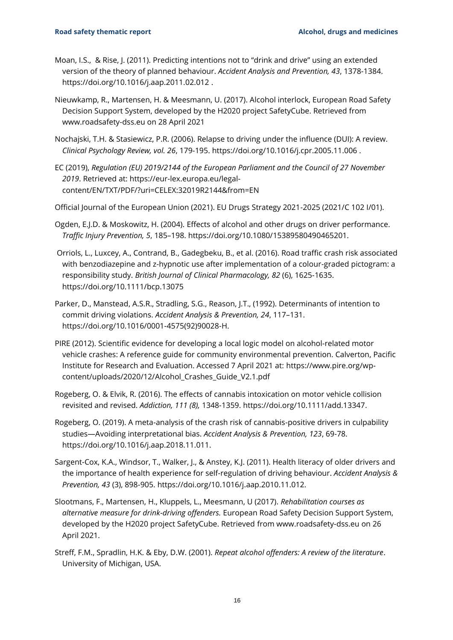- Moan, I.S., & Rise, J. (2011). Predicting intentions not to "drink and drive" using an extended version of the theory of planned behaviour. *Accident Analysis and Prevention, 43*, 1378-1384. https://doi.org/10.1016/j.aap.2011.02.012 .
- Nieuwkamp, R., Martensen, H. & Meesmann, U. (2017). Alcohol interlock, European Road Safety Decision Support System, developed by the H2020 project SafetyCube. Retrieved from www.roadsafety-dss.eu on 28 April 2021
- Nochajski, T.H. & Stasiewicz, P.R. (2006). Relapse to driving under the influence (DUI): A review. *Clinical Psychology Review, vol. 26*, 179-195. https://doi.org/10.1016/j.cpr.2005.11.006 .
- EC (2019), *Regulation (EU) 2019/2144 of the European Parliament and the Council of 27 November 2019*. Retrieved at: [https://eur-lex.europa.eu/legal](https://eur-lex.europa.eu/legal-content/EN/TXT/PDF/?uri=CELEX:32019R2144&from=EN)[content/EN/TXT/PDF/?uri=CELEX:32019R2144&from=EN](https://eur-lex.europa.eu/legal-content/EN/TXT/PDF/?uri=CELEX:32019R2144&from=EN)
- Official Journal of the European Union (2021). EU Drugs Strategy 2021-2025 (2021/C 102 I/01).
- Ogden, E.J.D. & Moskowitz, H. (2004). Effects of alcohol and other drugs on driver performance. *Traffic Injury Prevention, 5*, 185–198. https://doi.org/10.1080/15389580490465201.
- Orriols, L., Luxcey, A., Contrand, B., Gadegbeku, B., et al. (2016). Road traffic crash risk associated with benzodiazepine and z-hypnotic use after implementation of a colour-graded pictogram: a responsibility study. *British Journal of Clinical Pharmacology, 82* (6), 1625-1635. <https://doi.org/10.1111/bcp.13075>
- Parker, D., Manstead, A.S.R., Stradling, S.G., Reason, J.T., (1992). Determinants of intention to commit driving violations. *Accident Analysis & Prevention, 24*, 117–131. [https://doi.org/10.1016/0001-4575\(92\)90028-H.](https://doi.org/10.1016/0001-4575(92)90028-H)
- PIRE (2012). Scientific evidence for developing a local logic model on alcohol-related motor vehicle crashes: A reference guide for community environmental prevention. Calverton, Pacific Institute for Research and Evaluation. Accessed 7 April 2021 at: [https://www.pire.org/wp](https://www.pire.org/wp-content/uploads/2020/12/Alcohol_Crashes_Guide_V2.1.pdf)[content/uploads/2020/12/Alcohol\\_Crashes\\_Guide\\_V2.1.pdf](https://www.pire.org/wp-content/uploads/2020/12/Alcohol_Crashes_Guide_V2.1.pdf)
- Rogeberg, O. & Elvik, R. (2016). The effects of cannabis intoxication on motor vehicle collision revisited and revised. *Addiction, 111 (8),* 1348-1359. [https://doi.org/10.1111/add.13347.](https://doi.org/10.1111/add.13347)
- Rogeberg, O. (2019). A meta-analysis of the crash risk of cannabis-positive drivers in culpability studies—Avoiding interpretational bias. *Accident Analysis & Prevention, 123*, 69-78. [https://doi.org/10.1016/j.aap.2018.11.011.](https://doi.org/10.1016/j.aap.2018.11.011)
- Sargent-Cox, K.A., Windsor, T., Walker, J., & Anstey, K.J. (2011). Health literacy of older drivers and the importance of health experience for self-regulation of driving behaviour. *Accident Analysis & Prevention, 43* (3), 898-905. https://doi.org/10.1016/j.aap.2010.11.012.
- Slootmans, F., Martensen, H., Kluppels, L., Meesmann, U (2017). *Rehabilitation courses as alternative measure for drink-driving offenders.* European Road Safety Decision Support System, developed by the H2020 project SafetyCube. Retrieved from www.roadsafety-dss.eu on 26 April 2021.
- Streff, F.M., Spradlin, H.K. & Eby, D.W. (2001). *Repeat alcohol offenders: A review of the literature*. University of Michigan, USA.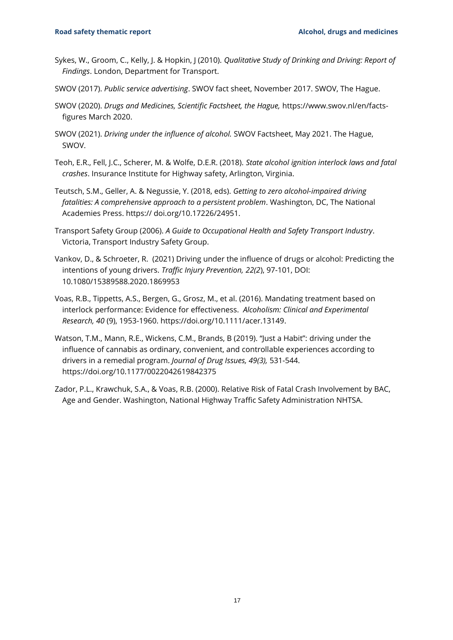- Sykes, W., Groom, C., Kelly, J. & Hopkin, J (2010). *Qualitative Study of Drinking and Driving: Report of Findings*. London, Department for Transport.
- SWOV (2017). *[Public service advertising](https://www.swov.nl/en/facts-figures/factsheet/public-service-advertising)*. SWOV fact sheet, November 2017. SWOV, The Hague.
- SWOV (2020). *Drugs and Medicines, Scientific Factsheet, the Hague,* [https://www.swov.nl/en/facts](https://www.swov.nl/en/facts-figures%20March%202020)[figures March 2020.](https://www.swov.nl/en/facts-figures%20March%202020)
- SWOV (2021). *Driving under the influence of alcohol.* SWOV Factsheet, May 2021. The Hague, SWOV.
- Teoh, E.R., Fell, J.C., Scherer, M. & Wolfe, D.E.R. (2018). *State alcohol ignition interlock laws and fatal crashes*. Insurance Institute for Highway safety, Arlington, Virginia.
- Teutsch, S.M., Geller, A. & Negussie, Y. (2018, eds). *Getting to zero alcohol-impaired driving fatalities: A comprehensive approach to a persistent problem*. Washington, DC, The National Academies Press. https:// doi.org/10.17226/24951.
- Transport Safety Group (2006). *A Guide to Occupational Health and Safety Transport Industry*. Victoria, Transport Industry Safety Group.
- Vankov, D., & Schroeter, R. (2021) Driving under the influence of drugs or alcohol: Predicting the intentions of young drivers. *Traffic Injury Prevention, 22(2*), 97-101, DOI: 10.1080/15389588.2020.1869953
- Voas, R.B., Tippetts, A.S., Bergen, G., Grosz, M., et al. (2016). Mandating treatment based on interlock performance: Evidence for effectiveness. *Alcoholism: Clinical and Experimental Research, 40* (9), 1953-1960. [https://doi.org/10.1111/acer.13149.](https://doi.org/10.1111/acer.13149)
- Watson, T.M., Mann, R.E., Wickens, C.M., Brands, B (2019). "Just a Habit": driving under the influence of cannabis as ordinary, convenient, and controllable experiences according to drivers in a remedial program. *Journal of Drug Issues, 49(3),* 531-544. <https://doi.org/10.1177/0022042619842375>
- Zador, P.L., Krawchuk, S.A., & Voas, R.B. (2000). Relative Risk of Fatal Crash Involvement by BAC, Age and Gender. Washington, National Highway Traffic Safety Administration NHTSA.